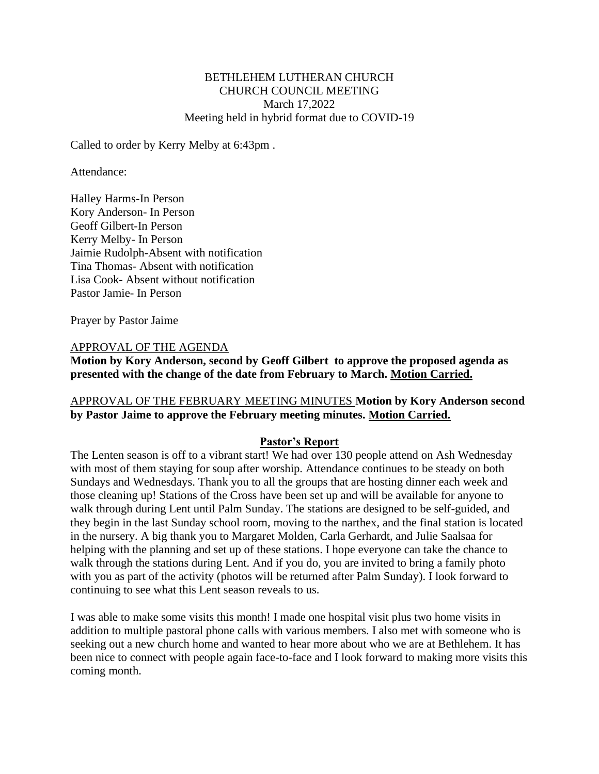#### BETHLEHEM LUTHERAN CHURCH CHURCH COUNCIL MEETING March 17,2022 Meeting held in hybrid format due to COVID-19

Called to order by Kerry Melby at 6:43pm .

Attendance:

Halley Harms-In Person Kory Anderson- In Person Geoff Gilbert-In Person Kerry Melby- In Person Jaimie Rudolph-Absent with notification Tina Thomas- Absent with notification Lisa Cook- Absent without notification Pastor Jamie- In Person

Prayer by Pastor Jaime

#### APPROVAL OF THE AGENDA

**Motion by Kory Anderson, second by Geoff Gilbert to approve the proposed agenda as presented with the change of the date from February to March. Motion Carried.**

### APPROVAL OF THE FEBRUARY MEETING MINUTES **Motion by Kory Anderson second by Pastor Jaime to approve the February meeting minutes. Motion Carried.**

#### **Pastor's Report**

The Lenten season is off to a vibrant start! We had over 130 people attend on Ash Wednesday with most of them staying for soup after worship. Attendance continues to be steady on both Sundays and Wednesdays. Thank you to all the groups that are hosting dinner each week and those cleaning up! Stations of the Cross have been set up and will be available for anyone to walk through during Lent until Palm Sunday. The stations are designed to be self-guided, and they begin in the last Sunday school room, moving to the narthex, and the final station is located in the nursery. A big thank you to Margaret Molden, Carla Gerhardt, and Julie Saalsaa for helping with the planning and set up of these stations. I hope everyone can take the chance to walk through the stations during Lent. And if you do, you are invited to bring a family photo with you as part of the activity (photos will be returned after Palm Sunday). I look forward to continuing to see what this Lent season reveals to us.

I was able to make some visits this month! I made one hospital visit plus two home visits in addition to multiple pastoral phone calls with various members. I also met with someone who is seeking out a new church home and wanted to hear more about who we are at Bethlehem. It has been nice to connect with people again face-to-face and I look forward to making more visits this coming month.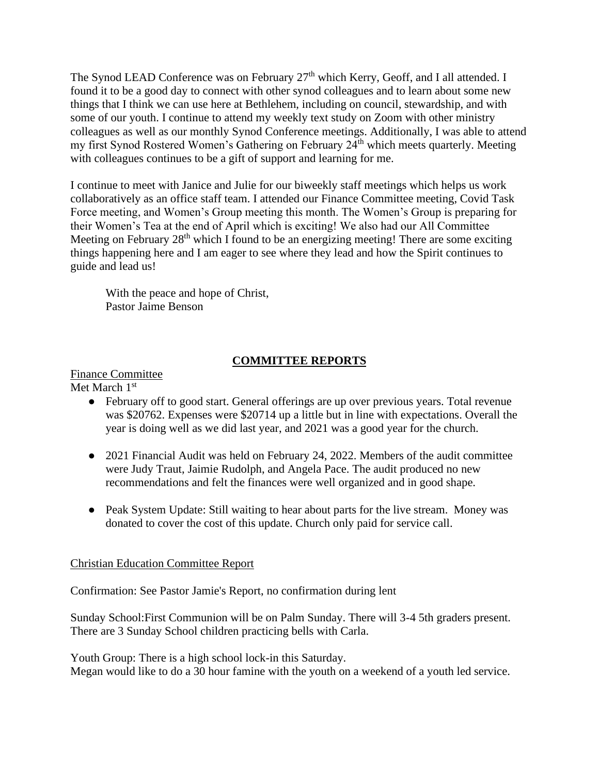The Synod LEAD Conference was on February  $27<sup>th</sup>$  which Kerry, Geoff, and I all attended. I found it to be a good day to connect with other synod colleagues and to learn about some new things that I think we can use here at Bethlehem, including on council, stewardship, and with some of our youth. I continue to attend my weekly text study on Zoom with other ministry colleagues as well as our monthly Synod Conference meetings. Additionally, I was able to attend my first Synod Rostered Women's Gathering on February 24<sup>th</sup> which meets quarterly. Meeting with colleagues continues to be a gift of support and learning for me.

I continue to meet with Janice and Julie for our biweekly staff meetings which helps us work collaboratively as an office staff team. I attended our Finance Committee meeting, Covid Task Force meeting, and Women's Group meeting this month. The Women's Group is preparing for their Women's Tea at the end of April which is exciting! We also had our All Committee Meeting on February  $28<sup>th</sup>$  which I found to be an energizing meeting! There are some exciting things happening here and I am eager to see where they lead and how the Spirit continues to guide and lead us!

With the peace and hope of Christ, Pastor Jaime Benson

## **COMMITTEE REPORTS**

Finance Committee Met March 1st

- February off to good start. General offerings are up over previous years. Total revenue was \$20762. Expenses were \$20714 up a little but in line with expectations. Overall the year is doing well as we did last year, and 2021 was a good year for the church.
- 2021 Financial Audit was held on February 24, 2022. Members of the audit committee were Judy Traut, Jaimie Rudolph, and Angela Pace. The audit produced no new recommendations and felt the finances were well organized and in good shape.
- Peak System Update: Still waiting to hear about parts for the live stream. Money was donated to cover the cost of this update. Church only paid for service call.

## Christian Education Committee Report

Confirmation: See Pastor Jamie's Report, no confirmation during lent

Sunday School:First Communion will be on Palm Sunday. There will 3-4 5th graders present. There are 3 Sunday School children practicing bells with Carla.

Youth Group: There is a high school lock-in this Saturday. Megan would like to do a 30 hour famine with the youth on a weekend of a youth led service.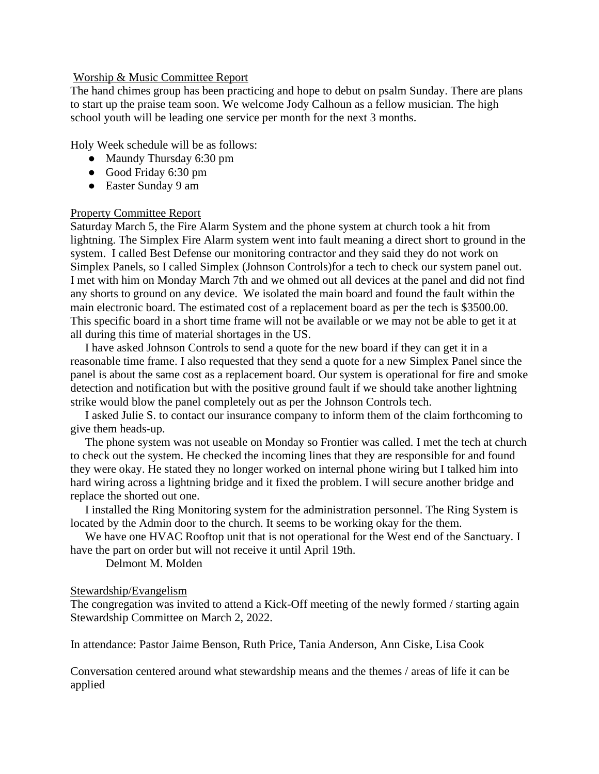#### Worship & Music Committee Report

The hand chimes group has been practicing and hope to debut on psalm Sunday. There are plans to start up the praise team soon. We welcome Jody Calhoun as a fellow musician. The high school youth will be leading one service per month for the next 3 months.

Holy Week schedule will be as follows:

- Maundy Thursday 6:30 pm
- Good Friday 6:30 pm
- Easter Sunday 9 am

### Property Committee Report

Saturday March 5, the Fire Alarm System and the phone system at church took a hit from lightning. The Simplex Fire Alarm system went into fault meaning a direct short to ground in the system. I called Best Defense our monitoring contractor and they said they do not work on Simplex Panels, so I called Simplex (Johnson Controls)for a tech to check our system panel out. I met with him on Monday March 7th and we ohmed out all devices at the panel and did not find any shorts to ground on any device. We isolated the main board and found the fault within the main electronic board. The estimated cost of a replacement board as per the tech is \$3500.00. This specific board in a short time frame will not be available or we may not be able to get it at all during this time of material shortages in the US.

 I have asked Johnson Controls to send a quote for the new board if they can get it in a reasonable time frame. I also requested that they send a quote for a new Simplex Panel since the panel is about the same cost as a replacement board. Our system is operational for fire and smoke detection and notification but with the positive ground fault if we should take another lightning strike would blow the panel completely out as per the Johnson Controls tech.

 I asked Julie S. to contact our insurance company to inform them of the claim forthcoming to give them heads-up.

 The phone system was not useable on Monday so Frontier was called. I met the tech at church to check out the system. He checked the incoming lines that they are responsible for and found they were okay. He stated they no longer worked on internal phone wiring but I talked him into hard wiring across a lightning bridge and it fixed the problem. I will secure another bridge and replace the shorted out one.

 I installed the Ring Monitoring system for the administration personnel. The Ring System is located by the Admin door to the church. It seems to be working okay for the them.

We have one HVAC Rooftop unit that is not operational for the West end of the Sanctuary. I have the part on order but will not receive it until April 19th.

Delmont M. Molden

## Stewardship/Evangelism

The congregation was invited to attend a Kick-Off meeting of the newly formed / starting again Stewardship Committee on March 2, 2022.

In attendance: Pastor Jaime Benson, Ruth Price, Tania Anderson, Ann Ciske, Lisa Cook

Conversation centered around what stewardship means and the themes / areas of life it can be applied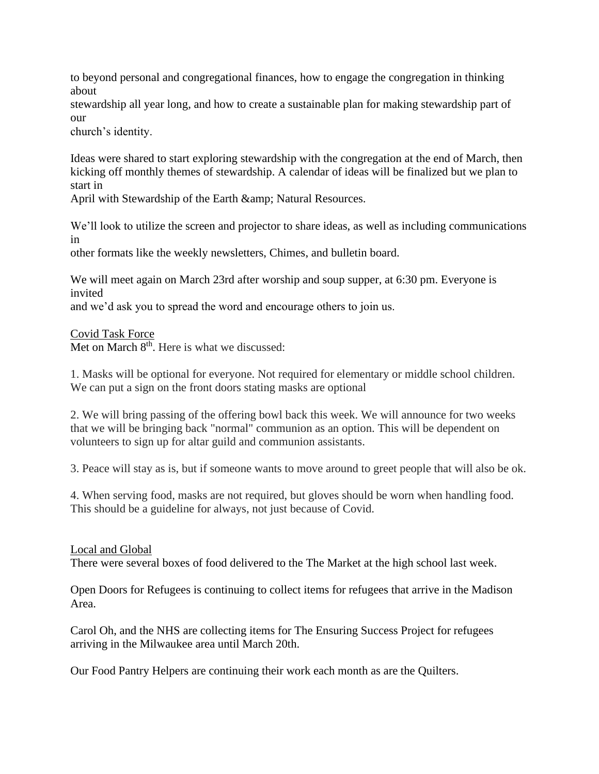to beyond personal and congregational finances, how to engage the congregation in thinking about

stewardship all year long, and how to create a sustainable plan for making stewardship part of our

church's identity.

Ideas were shared to start exploring stewardship with the congregation at the end of March, then kicking off monthly themes of stewardship. A calendar of ideas will be finalized but we plan to start in

April with Stewardship of the Earth & amp; Natural Resources.

We'll look to utilize the screen and projector to share ideas, as well as including communications in

other formats like the weekly newsletters, Chimes, and bulletin board.

We will meet again on March 23rd after worship and soup supper, at 6:30 pm. Everyone is invited

and we'd ask you to spread the word and encourage others to join us.

Covid Task Force

Met on March 8<sup>th</sup>. Here is what we discussed:

1. Masks will be optional for everyone. Not required for elementary or middle school children. We can put a sign on the front doors stating masks are optional

2. We will bring passing of the offering bowl back this week. We will announce for two weeks that we will be bringing back "normal" communion as an option. This will be dependent on volunteers to sign up for altar guild and communion assistants.

3. Peace will stay as is, but if someone wants to move around to greet people that will also be ok.

4. When serving food, masks are not required, but gloves should be worn when handling food. This should be a guideline for always, not just because of Covid.

## Local and Global

There were several boxes of food delivered to the The Market at the high school last week.

Open Doors for Refugees is continuing to collect items for refugees that arrive in the Madison Area.

Carol Oh, and the NHS are collecting items for The Ensuring Success Project for refugees arriving in the Milwaukee area until March 20th.

Our Food Pantry Helpers are continuing their work each month as are the Quilters.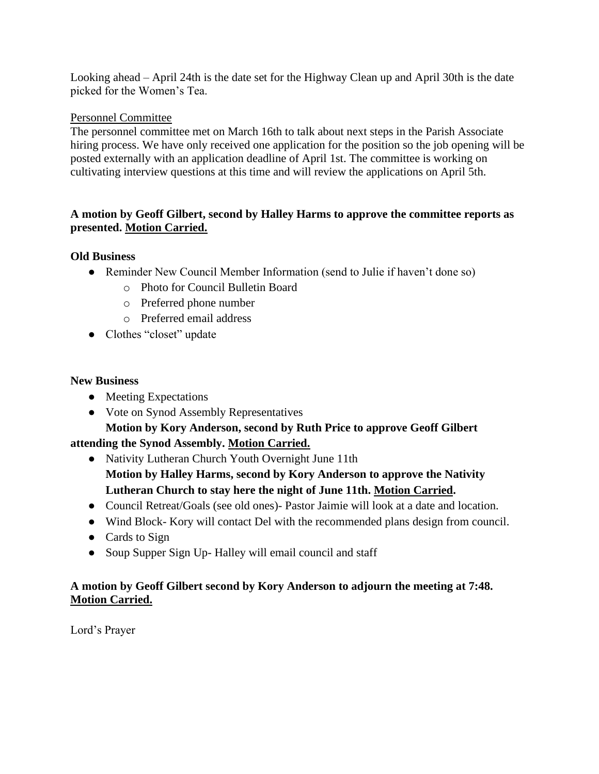Looking ahead – April 24th is the date set for the Highway Clean up and April 30th is the date picked for the Women's Tea.

## Personnel Committee

The personnel committee met on March 16th to talk about next steps in the Parish Associate hiring process. We have only received one application for the position so the job opening will be posted externally with an application deadline of April 1st. The committee is working on cultivating interview questions at this time and will review the applications on April 5th.

## **A motion by Geoff Gilbert, second by Halley Harms to approve the committee reports as presented. Motion Carried.**

### **Old Business**

- Reminder New Council Member Information (send to Julie if haven't done so)
	- o Photo for Council Bulletin Board
	- o Preferred phone number
	- o Preferred email address
- Clothes "closet" update

#### **New Business**

- Meeting Expectations
- Vote on Synod Assembly Representatives

# **Motion by Kory Anderson, second by Ruth Price to approve Geoff Gilbert attending the Synod Assembly. Motion Carried.**

- Nativity Lutheran Church Youth Overnight June 11th **Motion by Halley Harms, second by Kory Anderson to approve the Nativity Lutheran Church to stay here the night of June 11th. Motion Carried.**
- Council Retreat/Goals (see old ones)- Pastor Jaimie will look at a date and location.
- Wind Block- Kory will contact Del with the recommended plans design from council.
- Cards to Sign
- Soup Supper Sign Up- Halley will email council and staff

## **A motion by Geoff Gilbert second by Kory Anderson to adjourn the meeting at 7:48. Motion Carried.**

Lord's Prayer